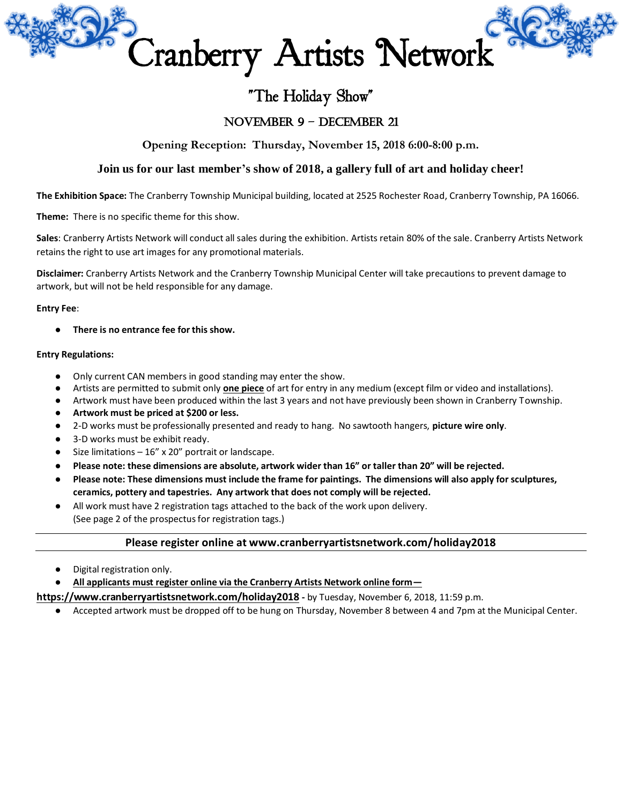

# "The Holiday Show"

# November 9 – December 21

**Opening Reception: Thursday, November 15, 2018 6:00-8:00 p.m.**

## **Join us for our last member's show of 2018, a gallery full of art and holiday cheer!**

**The Exhibition Space:** The Cranberry Township Municipal building, located at 2525 Rochester Road, Cranberry Township, PA 16066.

**Theme:** There is no specific theme for this show.

**Sales**: Cranberry Artists Network will conduct all sales during the exhibition. Artists retain 80% of the sale. Cranberry Artists Network retains the right to use art images for any promotional materials.

**Disclaimer:** Cranberry Artists Network and the Cranberry Township Municipal Center will take precautions to prevent damage to artwork, but will not be held responsible for any damage.

#### **Entry Fee**:

There is no entrance fee for this show.

### **Entry Regulations:**

- Only current CAN members in good standing may enter the show.
- Artists are permitted to submit only **one piece** of art for entry in any medium (except film or video and installations).
- Artwork must have been produced within the last 3 years and not have previously been shown in Cranberry Township.
- **Artwork must be priced at \$200 or less.**
- 2-D works must be professionally presented and ready to hang. No sawtooth hangers, **picture wire only**.
- 3-D works must be exhibit ready.
- Size limitations  $-16''$  x 20" portrait or landscape.
- **Please note: these dimensions are absolute, artwork wider than 16" or taller than 20" will be rejected.**
- **Please note: These dimensions must include the frame for paintings. The dimensions will also apply for sculptures, ceramics, pottery and tapestries. Any artwork that does not comply will be rejected.**
- All work must have 2 registration tags attached to the back of the work upon delivery. (See page 2 of the prospectus for registration tags.)

## **Please register online at www.cranberryartistsnetwork.com/holiday2018**

Digital registration only.

● **All applicants must register online via the Cranberry Artists Network online form—**

**https://www.cranberryartistsnetwork.com/holiday2018 -** by Tuesday, November 6, 2018, 11:59 p.m.

● Accepted artwork must be dropped off to be hung on Thursday, November 8 between 4 and 7pm at the Municipal Center.